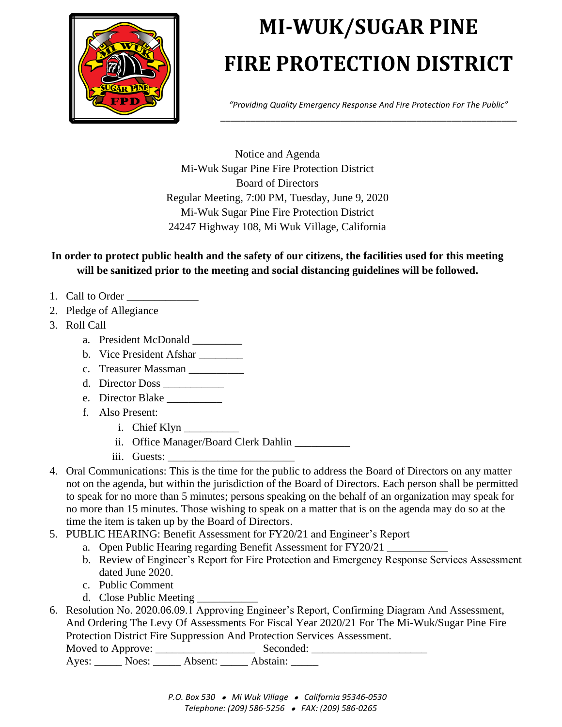

## **MI-WUK/SUGAR PINE FIRE PROTECTION DISTRICT**

*"Providing Quality Emergency Response And Fire Protection For The Public"* \_\_\_\_\_\_\_\_\_\_\_\_\_\_\_\_\_\_\_\_\_\_\_\_\_\_\_\_\_\_\_\_\_\_\_\_\_\_\_\_\_\_\_\_\_\_\_\_\_\_\_\_\_\_\_\_\_\_\_

Notice and Agenda Mi-Wuk Sugar Pine Fire Protection District Board of Directors Regular Meeting, 7:00 PM, Tuesday, June 9, 2020 Mi-Wuk Sugar Pine Fire Protection District 24247 Highway 108, Mi Wuk Village, California

**In order to protect public health and the safety of our citizens, the facilities used for this meeting will be sanitized prior to the meeting and social distancing guidelines will be followed.**

- 1. Call to Order
- 2. Pledge of Allegiance
- 3. Roll Call
	- a. President McDonald \_\_\_\_\_\_\_\_\_
	- b. Vice President Afshar
	- c. Treasurer Massman
	- d. Director Doss \_\_\_\_\_\_\_\_\_\_\_
	- e. Director Blake
	- f. Also Present:
		- i. Chief Klyn
		- ii. Office Manager/Board Clerk Dahlin \_\_\_\_\_\_\_\_\_\_
		- iii. Guests:
- 4. Oral Communications: This is the time for the public to address the Board of Directors on any matter not on the agenda, but within the jurisdiction of the Board of Directors. Each person shall be permitted to speak for no more than 5 minutes; persons speaking on the behalf of an organization may speak for no more than 15 minutes. Those wishing to speak on a matter that is on the agenda may do so at the time the item is taken up by the Board of Directors.
- 5. PUBLIC HEARING: Benefit Assessment for FY20/21 and Engineer's Report
	- a. Open Public Hearing regarding Benefit Assessment for FY20/21
	- b. Review of Engineer's Report for Fire Protection and Emergency Response Services Assessment dated June 2020.
	- c. Public Comment
	- d. Close Public Meeting
- 6. Resolution No. 2020.06.09.1 Approving Engineer's Report, Confirming Diagram And Assessment, And Ordering The Levy Of Assessments For Fiscal Year 2020/21 For The Mi-Wuk/Sugar Pine Fire Protection District Fire Suppression And Protection Services Assessment. Moved to Approve: \_\_\_\_\_\_\_\_\_\_\_\_\_\_\_\_\_\_ Seconded: \_\_\_\_\_\_\_\_\_\_\_\_\_\_\_\_\_\_\_\_\_

Ayes: \_\_\_\_\_\_ Noes: \_\_\_\_\_\_ Absent: \_\_\_\_\_\_ Abstain: \_\_\_\_\_\_